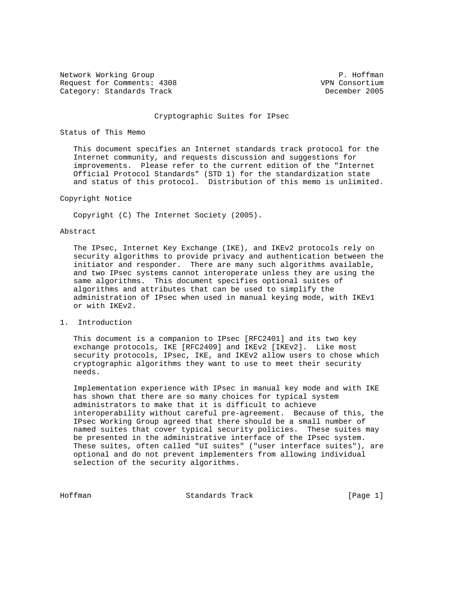Network Working Group **P. Hoffman** Request for Comments: 4308 VPN Consortium<br>Category: Standards Track Vermittee (Second Lecember 2005 Category: Standards Track

#### Cryptographic Suites for IPsec

### Status of This Memo

 This document specifies an Internet standards track protocol for the Internet community, and requests discussion and suggestions for improvements. Please refer to the current edition of the "Internet Official Protocol Standards" (STD 1) for the standardization state and status of this protocol. Distribution of this memo is unlimited.

## Copyright Notice

Copyright (C) The Internet Society (2005).

### Abstract

 The IPsec, Internet Key Exchange (IKE), and IKEv2 protocols rely on security algorithms to provide privacy and authentication between the initiator and responder. There are many such algorithms available, and two IPsec systems cannot interoperate unless they are using the same algorithms. This document specifies optional suites of algorithms and attributes that can be used to simplify the administration of IPsec when used in manual keying mode, with IKEv1 or with IKEv2.

# 1. Introduction

 This document is a companion to IPsec [RFC2401] and its two key exchange protocols, IKE [RFC2409] and IKEv2 [IKEv2]. Like most security protocols, IPsec, IKE, and IKEv2 allow users to chose which cryptographic algorithms they want to use to meet their security needs.

 Implementation experience with IPsec in manual key mode and with IKE has shown that there are so many choices for typical system administrators to make that it is difficult to achieve interoperability without careful pre-agreement. Because of this, the IPsec Working Group agreed that there should be a small number of named suites that cover typical security policies. These suites may be presented in the administrative interface of the IPsec system. These suites, often called "UI suites" ("user interface suites"), are optional and do not prevent implementers from allowing individual selection of the security algorithms.

Hoffman Standards Track [Page 1]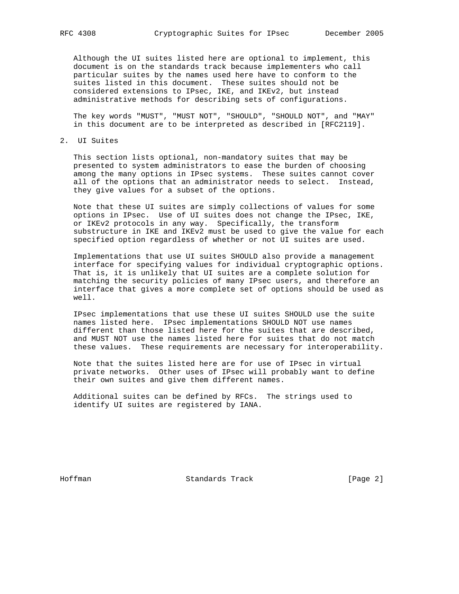Although the UI suites listed here are optional to implement, this document is on the standards track because implementers who call particular suites by the names used here have to conform to the suites listed in this document. These suites should not be considered extensions to IPsec, IKE, and IKEv2, but instead administrative methods for describing sets of configurations.

 The key words "MUST", "MUST NOT", "SHOULD", "SHOULD NOT", and "MAY" in this document are to be interpreted as described in [RFC2119].

2. UI Suites

 This section lists optional, non-mandatory suites that may be presented to system administrators to ease the burden of choosing among the many options in IPsec systems. These suites cannot cover all of the options that an administrator needs to select. Instead, they give values for a subset of the options.

 Note that these UI suites are simply collections of values for some options in IPsec. Use of UI suites does not change the IPsec, IKE, or IKEv2 protocols in any way. Specifically, the transform substructure in IKE and IKEv2 must be used to give the value for each specified option regardless of whether or not UI suites are used.

 Implementations that use UI suites SHOULD also provide a management interface for specifying values for individual cryptographic options. That is, it is unlikely that UI suites are a complete solution for matching the security policies of many IPsec users, and therefore an interface that gives a more complete set of options should be used as well.

 IPsec implementations that use these UI suites SHOULD use the suite names listed here. IPsec implementations SHOULD NOT use names different than those listed here for the suites that are described, and MUST NOT use the names listed here for suites that do not match these values. These requirements are necessary for interoperability.

 Note that the suites listed here are for use of IPsec in virtual private networks. Other uses of IPsec will probably want to define their own suites and give them different names.

 Additional suites can be defined by RFCs. The strings used to identify UI suites are registered by IANA.

Hoffman Standards Track [Page 2]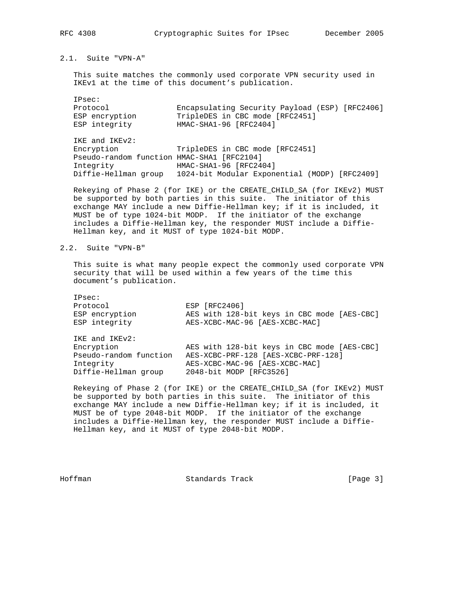# 2.1. Suite "VPN-A"

 This suite matches the commonly used corporate VPN security used in IKEv1 at the time of this document's publication.

 IPsec: Protocol Encapsulating Security Payload (ESP) [RFC2406] ESP encryption TripleDES in CBC mode [RFC2451] ESP integrity HMAC-SHA1-96 [RFC2404]

 IKE and IKEv2: Encryption TripleDES in CBC mode [RFC2451] Pseudo-random function HMAC-SHA1 [RFC2104] Integrity HMAC-SHA1-96 [RFC2404] Diffie-Hellman group 1024-bit Modular Exponential (MODP) [RFC2409]

 Rekeying of Phase 2 (for IKE) or the CREATE\_CHILD\_SA (for IKEv2) MUST be supported by both parties in this suite. The initiator of this exchange MAY include a new Diffie-Hellman key; if it is included, it MUST be of type 1024-bit MODP. If the initiator of the exchange includes a Diffie-Hellman key, the responder MUST include a Diffie- Hellman key, and it MUST of type 1024-bit MODP.

# 2.2. Suite "VPN-B"

 This suite is what many people expect the commonly used corporate VPN security that will be used within a few years of the time this document's publication.

| IPsec:                 |                                             |
|------------------------|---------------------------------------------|
| Protocol               | ESP [RFC2406]                               |
| ESP encryption         | AES with 128-bit keys in CBC mode [AES-CBC] |
| ESP integrity          | AES-XCBC-MAC-96 [AES-XCBC-MAC]              |
| IKE and IKEv2:         |                                             |
| Encryption             | AES with 128-bit keys in CBC mode [AES-CBC] |
| Pseudo-random function | AES-XCBC-PRF-128 [AES-XCBC-PRF-128]         |
| Integrity              | AES-XCBC-MAC-96 [AES-XCBC-MAC]              |
| Diffie-Hellman group   | 2048-bit MODP [RFC3526]                     |

 Rekeying of Phase 2 (for IKE) or the CREATE\_CHILD\_SA (for IKEv2) MUST be supported by both parties in this suite. The initiator of this exchange MAY include a new Diffie-Hellman key; if it is included, it MUST be of type 2048-bit MODP. If the initiator of the exchange includes a Diffie-Hellman key, the responder MUST include a Diffie- Hellman key, and it MUST of type 2048-bit MODP.

Hoffman Standards Track [Page 3]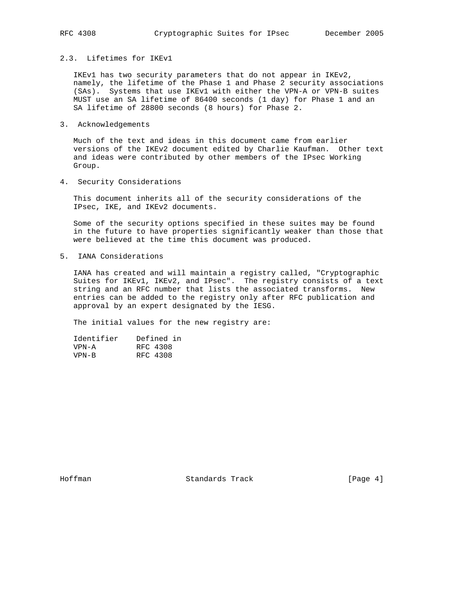2.3. Lifetimes for IKEv1

 IKEv1 has two security parameters that do not appear in IKEv2, namely, the lifetime of the Phase 1 and Phase 2 security associations (SAs). Systems that use IKEv1 with either the VPN-A or VPN-B suites MUST use an SA lifetime of 86400 seconds (1 day) for Phase 1 and an SA lifetime of 28800 seconds (8 hours) for Phase 2.

3. Acknowledgements

 Much of the text and ideas in this document came from earlier versions of the IKEv2 document edited by Charlie Kaufman. Other text and ideas were contributed by other members of the IPsec Working Group.

4. Security Considerations

 This document inherits all of the security considerations of the IPsec, IKE, and IKEv2 documents.

 Some of the security options specified in these suites may be found in the future to have properties significantly weaker than those that were believed at the time this document was produced.

5. IANA Considerations

 IANA has created and will maintain a registry called, "Cryptographic Suites for IKEv1, IKEv2, and IPsec". The registry consists of a text string and an RFC number that lists the associated transforms. New entries can be added to the registry only after RFC publication and approval by an expert designated by the IESG.

The initial values for the new registry are:

| Identifier | Defined in |
|------------|------------|
| VPN-A      | RFC 4308   |
| $VPN-R$    | RFC 4308   |

Hoffman Standards Track [Page 4]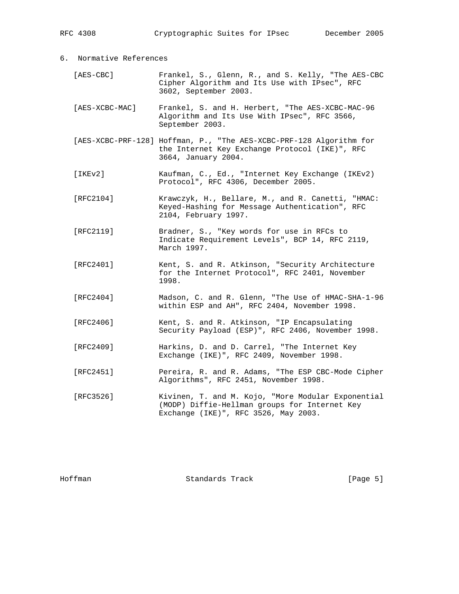| 6. Normative References |                |                                                                                                                                              |
|-------------------------|----------------|----------------------------------------------------------------------------------------------------------------------------------------------|
|                         | [AES-CBC]      | Frankel, S., Glenn, R., and S. Kelly, "The AES-CBC<br>Cipher Algorithm and Its Use with IPsec", RFC<br>3602, September 2003.                 |
|                         | [AES-XCBC-MAC] | Frankel, S. and H. Herbert, "The AES-XCBC-MAC-96<br>Algorithm and Its Use With IPsec", RFC 3566,<br>September 2003.                          |
|                         |                | [AES-XCBC-PRF-128] Hoffman, P., "The AES-XCBC-PRF-128 Algorithm for<br>the Internet Key Exchange Protocol (IKE)", RFC<br>3664, January 2004. |
|                         | [IKEv2]        | Kaufman, C., Ed., "Internet Key Exchange (IKEv2)<br>Protocol", RFC 4306, December 2005.                                                      |
|                         | [RFC2104]      | Krawczyk, H., Bellare, M., and R. Canetti, "HMAC:<br>Keyed-Hashing for Message Authentication", RFC<br>2104, February 1997.                  |
|                         | [RFC2119]      | Bradner, S., "Key words for use in RFCs to<br>Indicate Requirement Levels", BCP 14, RFC 2119,<br>March 1997.                                 |
|                         | [RFC2401]      | Kent, S. and R. Atkinson, "Security Architecture<br>for the Internet Protocol", RFC 2401, November<br>1998.                                  |
|                         | [RFC2404]      | Madson, C. and R. Glenn, "The Use of HMAC-SHA-1-96<br>within ESP and AH", RFC 2404, November 1998.                                           |
|                         | [RFC2406]      | Kent, S. and R. Atkinson, "IP Encapsulating<br>Security Payload (ESP)", RFC 2406, November 1998.                                             |
|                         | [RFC2409]      | Harkins, D. and D. Carrel, "The Internet Key<br>Exchange (IKE)", RFC 2409, November 1998.                                                    |
|                         | [RFC2451]      | Pereira, R. and R. Adams, "The ESP CBC-Mode Cipher<br>Algorithms", RFC 2451, November 1998.                                                  |
|                         | [RFC3526]      | Kivinen, T. and M. Kojo, "More Modular Exponential<br>(MODP) Diffie-Hellman groups for Internet Key<br>Exchange (IKE)", RFC 3526, May 2003.  |

RFC 4308 Cryptographic Suites for IPsec December 2005

Hoffman Standards Track [Page 5]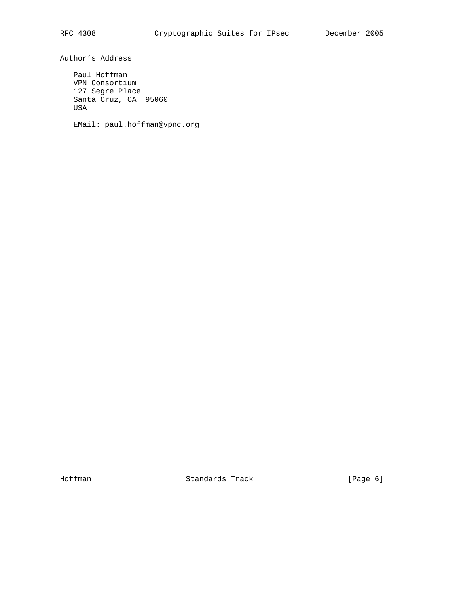Author's Address

 Paul Hoffman VPN Consortium 127 Segre Place Santa Cruz, CA 95060 USA

EMail: paul.hoffman@vpnc.org

Hoffman Standards Track [Page 6]